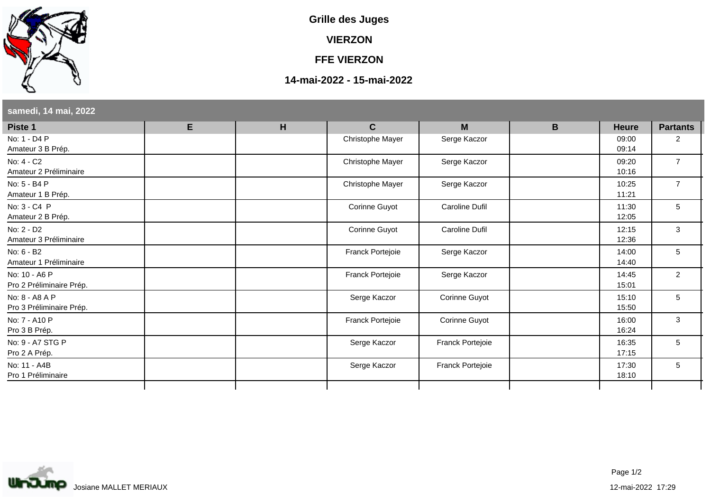

**Grille des Juges**

**VIERZON**

**FFE VIERZON**

## **14-mai-2022 - 15-mai-2022**

| Piste 1                                    | E | H | $\mathbf{C}$     | M                     | B | <b>Heure</b>   | <b>Partants</b> |
|--------------------------------------------|---|---|------------------|-----------------------|---|----------------|-----------------|
| No: 1 - D4 P<br>Amateur 3 B Prép.          |   |   | Christophe Mayer | Serge Kaczor          |   | 09:00<br>09:14 | 2               |
| No: 4 - C2<br>Amateur 2 Préliminaire       |   |   | Christophe Mayer | Serge Kaczor          |   | 09:20<br>10:16 | $\overline{7}$  |
| No: 5 - B4 P<br>Amateur 1 B Prép.          |   |   | Christophe Mayer | Serge Kaczor          |   | 10:25<br>11:21 | $\overline{7}$  |
| No: 3 - C4 P<br>Amateur 2 B Prép.          |   |   | Corinne Guyot    | Caroline Dufil        |   | 11:30<br>12:05 | 5               |
| No: 2 - D2<br>Amateur 3 Préliminaire       |   |   | Corinne Guyot    | <b>Caroline Dufil</b> |   | 12:15<br>12:36 | 3               |
| No: 6 - B2<br>Amateur 1 Préliminaire       |   |   | Franck Portejoie | Serge Kaczor          |   | 14:00<br>14:40 | 5               |
| No: 10 - A6 P<br>Pro 2 Préliminaire Prép.  |   |   | Franck Portejoie | Serge Kaczor          |   | 14:45<br>15:01 | 2               |
| No: 8 - A8 A P<br>Pro 3 Préliminaire Prép. |   |   | Serge Kaczor     | Corinne Guyot         |   | 15:10<br>15:50 | 5               |
| No: 7 - A10 P<br>Pro 3 B Prép.             |   |   | Franck Portejoie | Corinne Guyot         |   | 16:00<br>16:24 | 3               |
| No: 9 - A7 STG P<br>Pro 2 A Prép.          |   |   | Serge Kaczor     | Franck Portejoie      |   | 16:35<br>17:15 | 5               |
| No: 11 - A4B<br>Pro 1 Préliminaire         |   |   | Serge Kaczor     | Franck Portejoie      |   | 17:30<br>18:10 | 5               |